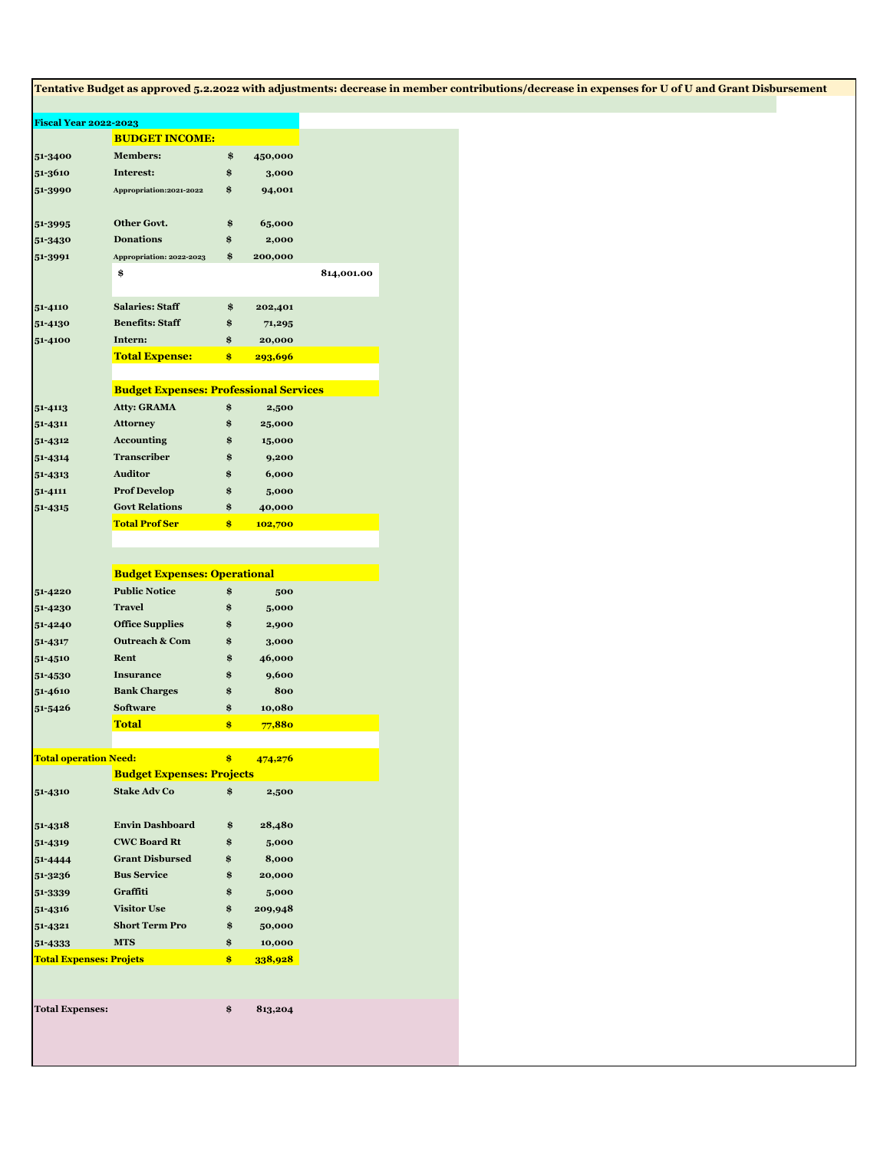|                                | Tentative Budget as approved 5.2.2022 with adjustments: decrease in member contributions/decrease in expenses for U of U and Grant Disbursement |               |         |            |
|--------------------------------|-------------------------------------------------------------------------------------------------------------------------------------------------|---------------|---------|------------|
| <b>Fiscal Year 2022-2023</b>   |                                                                                                                                                 |               |         |            |
|                                | <b>BUDGET INCOME:</b>                                                                                                                           |               |         |            |
| 51-3400                        | <b>Members:</b>                                                                                                                                 | \$            | 450,000 |            |
| 51-3610                        | Interest:                                                                                                                                       |               | 3,000   |            |
|                                |                                                                                                                                                 | \$            |         |            |
| 51-3990                        | Appropriation:2021-2022                                                                                                                         | \$            | 94,001  |            |
|                                |                                                                                                                                                 |               |         |            |
| 51-3995                        | Other Govt.                                                                                                                                     | \$            | 65,000  |            |
| 51-3430                        | <b>Donations</b>                                                                                                                                | \$            | 2,000   |            |
| 51-3991                        | Appropriation: 2022-2023                                                                                                                        | \$            | 200,000 |            |
|                                | \$                                                                                                                                              |               |         | 814,001.00 |
|                                |                                                                                                                                                 |               |         |            |
| 51-4110                        | <b>Salaries: Staff</b>                                                                                                                          | \$            | 202,401 |            |
| 51-4130                        | <b>Benefits: Staff</b>                                                                                                                          | \$            | 71,295  |            |
| 51-4100                        | Intern:                                                                                                                                         | \$            | 20,000  |            |
|                                | <b>Total Expense:</b>                                                                                                                           | \$            | 293,696 |            |
|                                |                                                                                                                                                 |               |         |            |
|                                | <b>Budget Expenses: Professional Services</b>                                                                                                   |               |         |            |
| 51-4113                        | <b>Atty: GRAMA</b>                                                                                                                              | \$            | 2,500   |            |
| 51-4311                        | <b>Attorney</b>                                                                                                                                 | \$            | 25,000  |            |
| 51-4312                        | <b>Accounting</b>                                                                                                                               | \$            | 15,000  |            |
| 51-4314                        | Transcriber                                                                                                                                     | \$            | 9,200   |            |
| 51-4313                        | <b>Auditor</b>                                                                                                                                  | \$            | 6,000   |            |
| 51-4111                        | <b>Prof Develop</b>                                                                                                                             | \$            | 5,000   |            |
| 51-4315                        | <b>Govt Relations</b>                                                                                                                           | \$            | 40,000  |            |
|                                |                                                                                                                                                 |               |         |            |
|                                | <b>Total Prof Ser</b>                                                                                                                           | $\frac{1}{2}$ | 102,700 |            |
|                                |                                                                                                                                                 |               |         |            |
|                                |                                                                                                                                                 |               |         |            |
|                                | <b>Budget Expenses: Operational</b>                                                                                                             |               |         |            |
| 51-4220                        | <b>Public Notice</b>                                                                                                                            | \$            | 500     |            |
| 51-4230                        | <b>Travel</b>                                                                                                                                   | \$            | 5,000   |            |
| 51-4240                        | <b>Office Supplies</b>                                                                                                                          | \$            | 2,900   |            |
| 51-4317                        | <b>Outreach &amp; Com</b>                                                                                                                       | \$            | 3,000   |            |
| 51-4510                        | Rent                                                                                                                                            | \$            | 46,000  |            |
| 51-4530                        | <b>Insurance</b>                                                                                                                                | \$            | 9,600   |            |
| 51-4610                        | <b>Bank Charges</b>                                                                                                                             | \$            | 800     |            |
| 51-5426                        | Software                                                                                                                                        | \$            | 10,080  |            |
|                                | <b>Total</b>                                                                                                                                    | $\frac{1}{2}$ | 77,880  |            |
|                                |                                                                                                                                                 |               |         |            |
| <b>Total operation Need:</b>   |                                                                                                                                                 | $\frac{1}{2}$ | 474,276 |            |
|                                | <b>Budget Expenses: Projects</b>                                                                                                                |               |         |            |
| 51-4310                        | <b>Stake Adv Co</b>                                                                                                                             | \$            | 2,500   |            |
|                                |                                                                                                                                                 |               |         |            |
| 51-4318                        | <b>Envin Dashboard</b>                                                                                                                          | \$            | 28,480  |            |
|                                |                                                                                                                                                 |               |         |            |
| 51-4319                        | <b>CWC Board Rt</b>                                                                                                                             | \$            | 5,000   |            |
| 51-4444                        | <b>Grant Disbursed</b>                                                                                                                          | \$            | 8,000   |            |
| 51-3236                        | <b>Bus Service</b>                                                                                                                              | \$            | 20,000  |            |
| 51-3339                        | Graffiti                                                                                                                                        | \$            | 5,000   |            |
| 51-4316                        | <b>Visitor Use</b>                                                                                                                              | \$            | 209,948 |            |
| 51-4321                        | <b>Short Term Pro</b>                                                                                                                           | \$            | 50,000  |            |
| 51-4333                        | <b>MTS</b>                                                                                                                                      | \$            | 10,000  |            |
| <b>Total Expenses: Projets</b> |                                                                                                                                                 | $\frac{1}{2}$ | 338,928 |            |
|                                |                                                                                                                                                 |               |         |            |
|                                |                                                                                                                                                 |               |         |            |
| <b>Total Expenses:</b>         |                                                                                                                                                 | \$            | 813,204 |            |
|                                |                                                                                                                                                 |               |         |            |
|                                |                                                                                                                                                 |               |         |            |